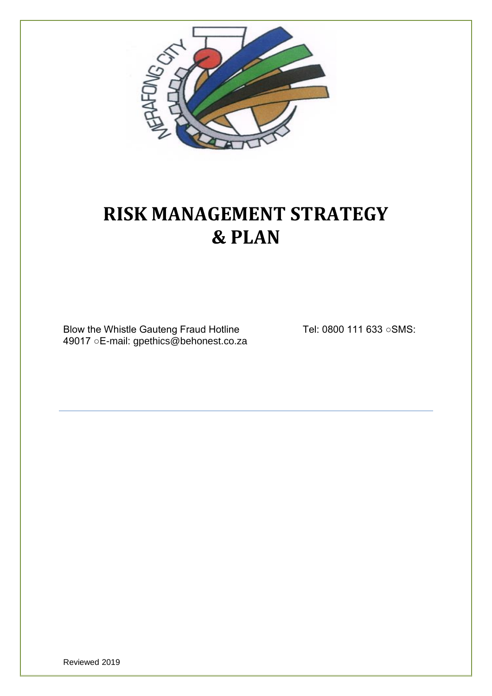

# **RISK MANAGEMENT STRATEGY & PLAN**

Blow the Whistle Gauteng Fraud Hotline Tel: 0800 111 633 ○ SMS: 49017 ○E-mail: gpethics@behonest.co.za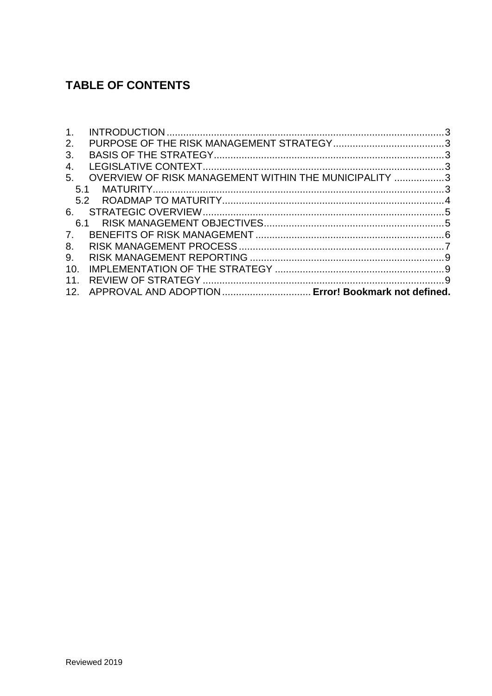# **TABLE OF CONTENTS**

| 1 <sub>1</sub> |                                                       |  |
|----------------|-------------------------------------------------------|--|
| 2.             |                                                       |  |
| 3.             |                                                       |  |
| 4.             |                                                       |  |
| 5.             | OVERVIEW OF RISK MANAGEMENT WITHIN THE MUNICIPALITY 3 |  |
| 5.1            |                                                       |  |
|                |                                                       |  |
| 6.             |                                                       |  |
| ჩ.1            |                                                       |  |
| $7_{\cdot}$    |                                                       |  |
| 8.             |                                                       |  |
| 9.             |                                                       |  |
| 10.            |                                                       |  |
| 11.            |                                                       |  |
| 12.            | APPROVAL AND ADOPTION  Error! Bookmark not defined.   |  |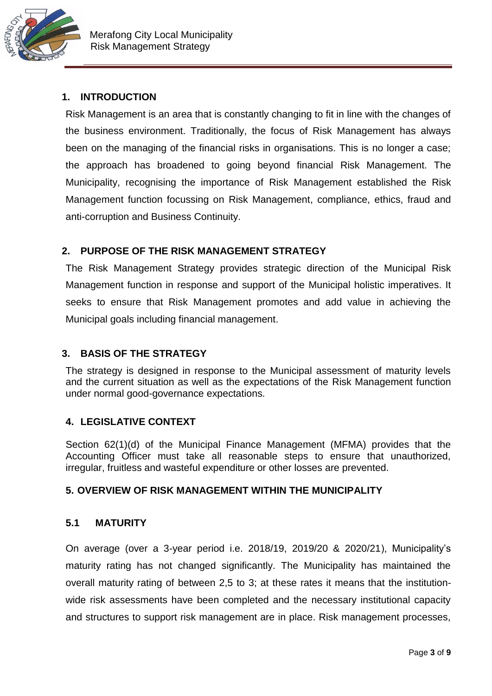

# <span id="page-2-0"></span>**1. INTRODUCTION**

Risk Management is an area that is constantly changing to fit in line with the changes of the business environment. Traditionally, the focus of Risk Management has always been on the managing of the financial risks in organisations. This is no longer a case; the approach has broadened to going beyond financial Risk Management. The Municipality, recognising the importance of Risk Management established the Risk Management function focussing on Risk Management, compliance, ethics, fraud and anti-corruption and Business Continuity.

# <span id="page-2-1"></span>**2. PURPOSE OF THE RISK MANAGEMENT STRATEGY**

The Risk Management Strategy provides strategic direction of the Municipal Risk Management function in response and support of the Municipal holistic imperatives. It seeks to ensure that Risk Management promotes and add value in achieving the Municipal goals including financial management.

# <span id="page-2-2"></span>**3. BASIS OF THE STRATEGY**

The strategy is designed in response to the Municipal assessment of maturity levels and the current situation as well as the expectations of the Risk Management function under normal good-governance expectations.

#### <span id="page-2-3"></span>**4. LEGISLATIVE CONTEXT**

Section 62(1)(d) of the Municipal Finance Management (MFMA) provides that the Accounting Officer must take all reasonable steps to ensure that unauthorized, irregular, fruitless and wasteful expenditure or other losses are prevented.

#### <span id="page-2-4"></span>**5. OVERVIEW OF RISK MANAGEMENT WITHIN THE MUNICIPALITY**

#### <span id="page-2-5"></span>**5.1 MATURITY**

On average (over a 3-year period i.e. 2018/19, 2019/20 & 2020/21), Municipality's maturity rating has not changed significantly. The Municipality has maintained the overall maturity rating of between 2,5 to 3; at these rates it means that the institutionwide risk assessments have been completed and the necessary institutional capacity and structures to support risk management are in place. Risk management processes,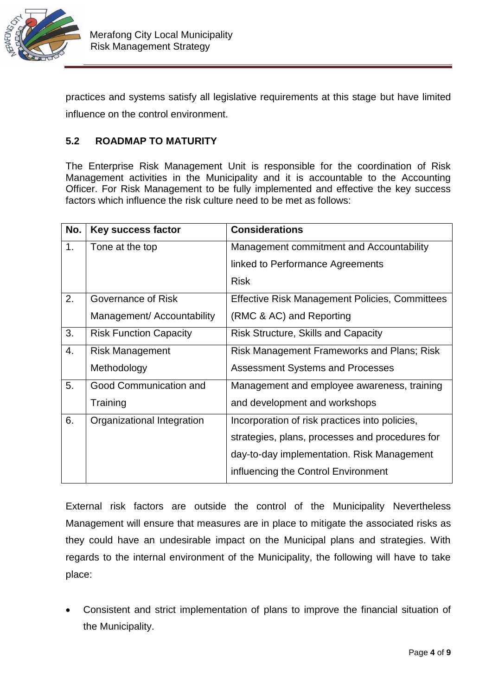

practices and systems satisfy all legislative requirements at this stage but have limited influence on the control environment.

#### <span id="page-3-0"></span>**5.2 ROADMAP TO MATURITY**

The Enterprise Risk Management Unit is responsible for the coordination of Risk Management activities in the Municipality and it is accountable to the Accounting Officer. For Risk Management to be fully implemented and effective the key success factors which influence the risk culture need to be met as follows:

| No. | Key success factor            | <b>Considerations</b>                                 |
|-----|-------------------------------|-------------------------------------------------------|
| 1.  | Tone at the top               | Management commitment and Accountability              |
|     |                               | linked to Performance Agreements                      |
|     |                               | <b>Risk</b>                                           |
| 2.  | Governance of Risk            | <b>Effective Risk Management Policies, Committees</b> |
|     | Management/ Accountability    | (RMC & AC) and Reporting                              |
| 3.  | <b>Risk Function Capacity</b> | <b>Risk Structure, Skills and Capacity</b>            |
| 4.  | <b>Risk Management</b>        | <b>Risk Management Frameworks and Plans; Risk</b>     |
|     | Methodology                   | Assessment Systems and Processes                      |
| 5.  | Good Communication and        | Management and employee awareness, training           |
|     | Training                      | and development and workshops                         |
| 6.  | Organizational Integration    | Incorporation of risk practices into policies,        |
|     |                               | strategies, plans, processes and procedures for       |
|     |                               | day-to-day implementation. Risk Management            |
|     |                               | influencing the Control Environment                   |

External risk factors are outside the control of the Municipality Nevertheless Management will ensure that measures are in place to mitigate the associated risks as they could have an undesirable impact on the Municipal plans and strategies. With regards to the internal environment of the Municipality, the following will have to take place:

 Consistent and strict implementation of plans to improve the financial situation of the Municipality.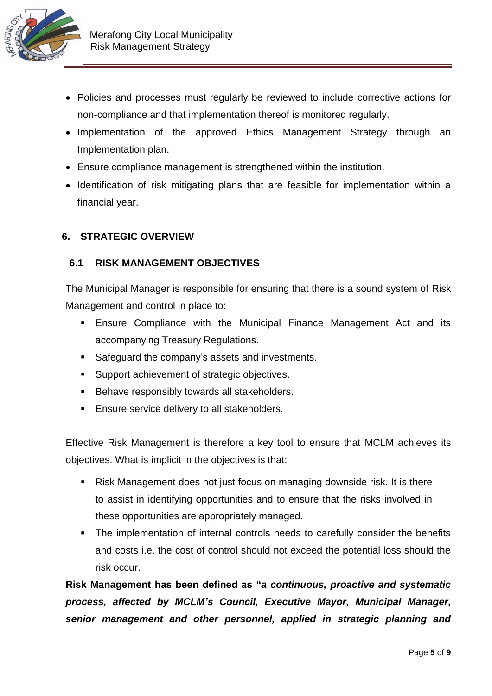

- Policies and processes must regularly be reviewed to include corrective actions for non-compliance and that implementation thereof is monitored regularly.
- Implementation of the approved Ethics Management Strategy through an Implementation plan.
- Ensure compliance management is strengthened within the institution.
- Identification of risk mitigating plans that are feasible for implementation within a financial year.

#### <span id="page-4-0"></span>**6. STRATEGIC OVERVIEW**

#### <span id="page-4-1"></span>**6.1 RISK MANAGEMENT OBJECTIVES**

The Municipal Manager is responsible for ensuring that there is a sound system of Risk Management and control in place to:

- **Ensure Compliance with the Municipal Finance Management Act and its** accompanying Treasury Regulations.
- Safeguard the company's assets and investments.
- **Support achievement of strategic objectives.**
- **Behave responsibly towards all stakeholders.**
- **Ensure service delivery to all stakeholders.**

Effective Risk Management is therefore a key tool to ensure that MCLM achieves its objectives. What is implicit in the objectives is that:

- Risk Management does not just focus on managing downside risk. It is there to assist in identifying opportunities and to ensure that the risks involved in these opportunities are appropriately managed.
- The implementation of internal controls needs to carefully consider the benefits and costs i.e. the cost of control should not exceed the potential loss should the risk occur.

**Risk Management has been defined as "***a continuous, proactive and systematic process, affected by MCLM's Council, Executive Mayor, Municipal Manager, senior management and other personnel, applied in strategic planning and*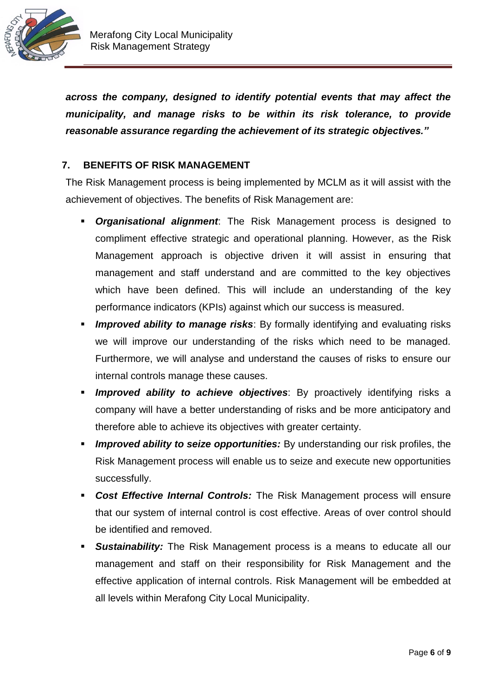

*across the company, designed to identify potential events that may affect the municipality, and manage risks to be within its risk tolerance, to provide reasonable assurance regarding the achievement of its strategic objectives."*

### <span id="page-5-0"></span>**7. BENEFITS OF RISK MANAGEMENT**

The Risk Management process is being implemented by MCLM as it will assist with the achievement of objectives. The benefits of Risk Management are:

- *Organisational alignment*: The Risk Management process is designed to compliment effective strategic and operational planning. However, as the Risk Management approach is objective driven it will assist in ensuring that management and staff understand and are committed to the key objectives which have been defined. This will include an understanding of the key performance indicators (KPIs) against which our success is measured.
- *Improved ability to manage risks*: By formally identifying and evaluating risks we will improve our understanding of the risks which need to be managed. Furthermore, we will analyse and understand the causes of risks to ensure our internal controls manage these causes.
- *Improved ability to achieve objectives*: By proactively identifying risks a company will have a better understanding of risks and be more anticipatory and therefore able to achieve its objectives with greater certainty.
- *Improved ability to seize opportunities:* By understanding our risk profiles, the Risk Management process will enable us to seize and execute new opportunities successfully.
- *Cost Effective Internal Controls:* The Risk Management process will ensure that our system of internal control is cost effective. Areas of over control should be identified and removed.
- *Sustainability:* The Risk Management process is a means to educate all our management and staff on their responsibility for Risk Management and the effective application of internal controls. Risk Management will be embedded at all levels within Merafong City Local Municipality.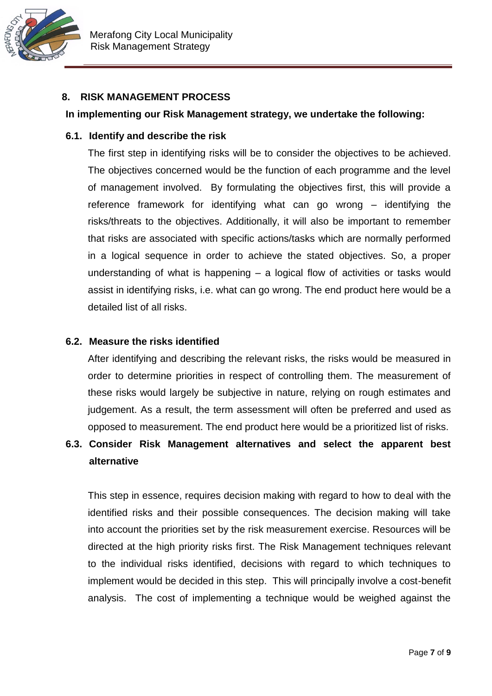

#### <span id="page-6-0"></span>**8. RISK MANAGEMENT PROCESS**

#### **In implementing our Risk Management strategy, we undertake the following:**

#### **6.1. Identify and describe the risk**

The first step in identifying risks will be to consider the objectives to be achieved. The objectives concerned would be the function of each programme and the level of management involved. By formulating the objectives first, this will provide a reference framework for identifying what can go wrong – identifying the risks/threats to the objectives. Additionally, it will also be important to remember that risks are associated with specific actions/tasks which are normally performed in a logical sequence in order to achieve the stated objectives. So, a proper understanding of what is happening – a logical flow of activities or tasks would assist in identifying risks, i.e. what can go wrong. The end product here would be a detailed list of all risks.

#### **6.2. Measure the risks identified**

After identifying and describing the relevant risks, the risks would be measured in order to determine priorities in respect of controlling them. The measurement of these risks would largely be subjective in nature, relying on rough estimates and judgement. As a result, the term assessment will often be preferred and used as opposed to measurement. The end product here would be a prioritized list of risks.

# **6.3. Consider Risk Management alternatives and select the apparent best alternative**

This step in essence, requires decision making with regard to how to deal with the identified risks and their possible consequences. The decision making will take into account the priorities set by the risk measurement exercise. Resources will be directed at the high priority risks first. The Risk Management techniques relevant to the individual risks identified, decisions with regard to which techniques to implement would be decided in this step. This will principally involve a cost-benefit analysis. The cost of implementing a technique would be weighed against the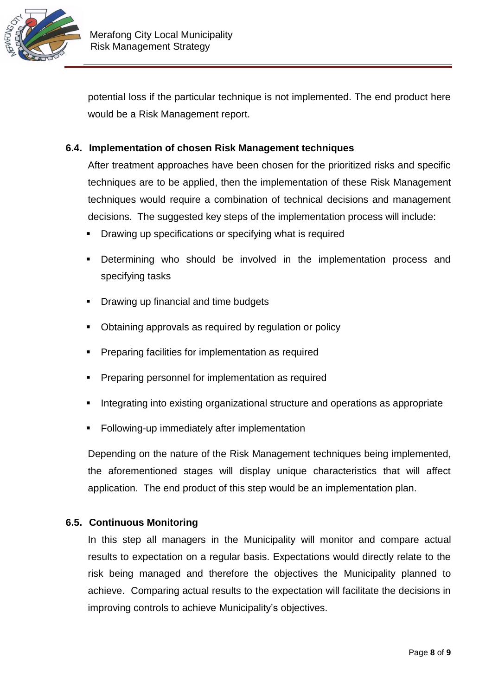

potential loss if the particular technique is not implemented. The end product here would be a Risk Management report.

#### **6.4. Implementation of chosen Risk Management techniques**

After treatment approaches have been chosen for the prioritized risks and specific techniques are to be applied, then the implementation of these Risk Management techniques would require a combination of technical decisions and management decisions. The suggested key steps of the implementation process will include:

- **Drawing up specifications or specifying what is required**
- Determining who should be involved in the implementation process and specifying tasks
- Drawing up financial and time budgets
- Obtaining approvals as required by regulation or policy
- Preparing facilities for implementation as required
- **Preparing personnel for implementation as required**
- Integrating into existing organizational structure and operations as appropriate
- Following-up immediately after implementation

Depending on the nature of the Risk Management techniques being implemented, the aforementioned stages will display unique characteristics that will affect application. The end product of this step would be an implementation plan.

#### **6.5. Continuous Monitoring**

In this step all managers in the Municipality will monitor and compare actual results to expectation on a regular basis. Expectations would directly relate to the risk being managed and therefore the objectives the Municipality planned to achieve. Comparing actual results to the expectation will facilitate the decisions in improving controls to achieve Municipality's objectives.